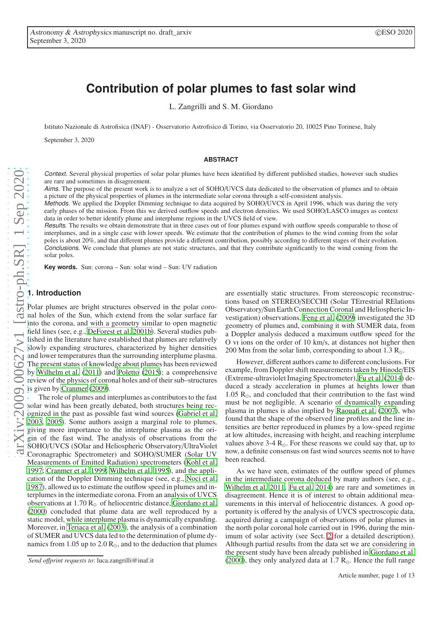# **Contribution of polar plumes to fast solar wind**

L. Zangrilli and S. M. Giordano

Istituto Nazionale di Astrofisica (INAF) - Osservatorio Astrofisico di Torino, via Osservatorio 20, 10025 Pino Torinese, Italy

September 3, 2020

#### **ABSTRACT**

Context. Several physical properties of solar polar plumes have been identified by different published studies, however such studies are rare and sometimes in disagreement.

Aims. The purpose of the present work is to analyze a set of SOHO/UVCS data dedicated to the observation of plumes and to obtain a picture of the physical properties of plumes in the intermediate solar corona through a self-consistent analysis.

Methods. We applied the Doppler Dimming technique to data acquired by SOHO/UVCS in April 1996, which was during the very early phases of the mission. From this we derived outflow speeds and electron densities. We used SOHO/LASCO images as context data in order to better identify plume and interplume regions in the UVCS field of view.

Results. The results we obtain demonstrate that in three cases out of four plumes expand with outflow speeds comparable to those of interplumes, and in a single case with lower speeds. We estimate that the contribution of plumes to the wind coming from the solar poles is about 20%, and that different plumes provide a different contribution, possibly according to different stages of their evolution. Conclusions. We conclude that plumes are not static structures, and that they contribute significantly to the wind coming from the solar poles.

**Key words.** Sun: corona – Sun: solar wind – Sun: UV radiation

# <span id="page-0-0"></span>**1. Introduction**

Polar plumes are bright structures observed in the polar coronal holes of the Sun, which extend from the solar surface far into the corona, and with a geometry similar to open magnetic field lines (see, e.g., [DeForest et al. 2001b\)](#page-12-0). Several studies published in the literature have established that plumes are relatively slowly expanding structures, characterized by higher densities and lower temperatures than the surrounding interplume plasma. The present status of knowledge about plumes has been reviewed by [Wilhelm et al. \(2011\)](#page-12-1) and [Poletto \(2015](#page-12-2)); a comprehensive review of the physics of coronal holes and of their sub–structures is given by [Cranmer \(2009\)](#page-12-3).

The role of plumes and interplumes as contributors to the fast solar wind has been greatly debated, both structures being recognized in the past as possible fast wind sources [\(Gabriel et](#page-12-4) al. [2003,](#page-12-4) [2005](#page-12-5)). Some authors assign a marginal role to plumes, giving more importance to the interplume plasma as the origin of the fast wind. The analysis of observations from the SOHO/UVCS (SOlar and Heliospheric Observatory/UltraViolet Coronagraphic Spectrometer) and SOHO/SUMER (Solar UV Measurements of Emitted Radiation) spectrometers [\(Kohl et](#page-12-6) al. [1997;](#page-12-6) [Cranmer et al. 1999](#page-12-7); [Wilhelm et al. 1995\)](#page-12-8), and the application of the Doppler Dimming technique (see, e.g., [Noci et al.](#page-12-9) [1987\)](#page-12-9), allowed us to estimate the outflow speed in plumes and interplumes in the intermediate corona. From an analysis of UVCS observations at 1.70  $R_{\odot}$  of heliocentric distance, [Giordano et al.](#page-12-10) [\(2000](#page-12-10)) concluded that plume data are well reproduced by a static model, while interplume plasma is dynamically expanding. Moreover, in [Teriaca et al. \(2003\)](#page-12-11), the analysis of a combination of SUMER and UVCS data led to the determination of plume dynamics from 1.05 up to 2.0  $R_{\odot}$ , and to the deduction that plumes

are essentially static structures. From stereoscopic reconstructions based on STEREO/SECCHI (Solar TErrestrial RElations Observatory/Sun Earth Connection Coronal and Heliospheric Investigation) observations, [Feng et al.](#page-12-12) [\(2009\)](#page-12-12) investigated the 3D geometry of plumes and, combining it with SUMER data, from a Doppler analysis deduced a maximum outflow speed for the O vi ions on the order of 10 km/s, at distances not higher then 200 Mm from the solar limb, corresponding to about 1.3  $R_{\odot}$ .

However, different authors came to different conclusions. For example, from Doppler shift measurements taken by Hinode/EIS (Extreme-ultraviolet Imaging Spectrometer), [Fu et al. \(2014\)](#page-12-13) deduced a steady acceleration in plumes at heights lower than 1.05  $R_{\odot}$ , and concluded that their contribution to the fast wind must be not negligible. A scenario of dynamically expanding plasma in plumes is also implied by [Raouafi et al. \(2007\)](#page-12-14), who found that the shape of the observed line profiles and the line intensities are better reproduced in plumes by a low-speed regime at low altitudes, increasing with height, and reaching interplume values above  $3-4$  R<sub>☉</sub>. For these reasons we could say that, up to now, a definite consensus on fast wind sources seems not to have been reached.

As we have seen, estimates of the outflow speed of plumes in the intermediate corona deduced by many authors (see, e.g., [Wilhelm et al. 2011](#page-12-1), [Fu et al. 2014\)](#page-12-13) are rare and sometimes in disagreement. Hence it is of interest to obtain additional measurements in this interval of heliocentric distances. A good opportunity is offered by the analysis of UVCS spectroscopic data, acquired during a campaign of observations of polar plumes in the north polar coronal hole carried out in 1996, during the minimum of solar activity (see Sect. [2](#page-1-0) for a detailed description). Although partial results from the data set we are considering in the present study have been already published in [Giordano et](#page-12-10) al. [\(2000\)](#page-12-10), they only analyzed data at 1.7  $R_{\odot}$ . Hence the full range

*Send o*ff*print requests to*: luca.zangrilli@inaf.it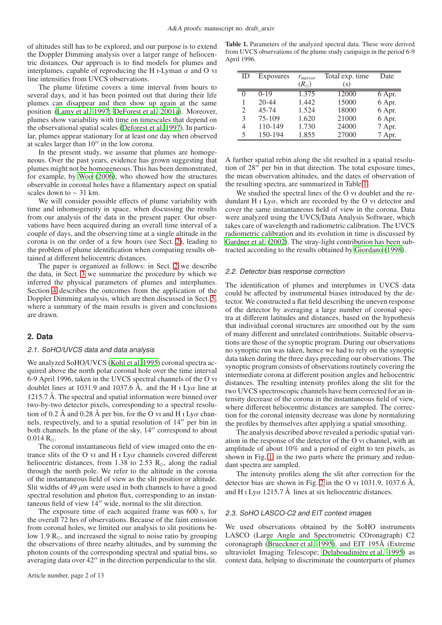of altitudes still has to be explored, and our purpose is to extend the Doppler Dimming analysis over a larger range of heliocentric distances. Our approach is to find models for plumes and interplumes, capable of reproducing the H I-Lyman  $\alpha$  and O vi line intensities from UVCS observations.

The plume lifetime covers a time interval from hours to several days, and it has been pointed out that during their life plumes can disappear and then show up again at the same position [\(Lamy et al. 1997;](#page-12-15) [DeForest et al. 2001a\)](#page-12-16). Moreover, plumes show variability with time on timescales that depend on the observational spatial scales [\(Deforest et al. 1997\)](#page-12-17). In particular, plumes appear stationary for at least one day when observed at scales larger than 10′′ in the low corona.

In the present study, we assume that plumes are homogeneous. Over the past years, evidence has grown suggesting that plumes might not be homogeneous. This has been demonstrated, for example, by [Woo \(2006\)](#page-12-18), who showed how the structures observable in coronal holes have a filamentary aspect on spatial scales down to  $\sim$  31 km.

We will consider possible effects of plume variability with time and inhomogeneity in space, when discussing the results from our analysis of the data in the present paper. Our observations have been acquired during an overall time interval of a couple of days, and the observing time at a single altitude in the corona is on the order of a few hours (see Sect. [2\)](#page-1-0), leading to the problem of plume identification when comparing results obtained at different heliocentric distances.

The paper is organized as follows: in Sect. [2](#page-1-0) we describe the data, in Sect. [3](#page-5-0) we summarize the procedure by which we inferred the physical parameters of plumes and interplumes. Section [4](#page-7-0) describes the outcomes from the application of the Doppler Dimming analysis, which are then discussed in Sect. [5,](#page-9-0) where a summary of the main results is given and conclusions are drawn.

# <span id="page-1-0"></span>**2. Data**

## 2.1. SoHO/UVCS data and data analysis

We analyzed SoHO/UVCS [\(Kohl et al. 1995\)](#page-12-19) coronal spectra acquired above the north polar coronal hole over the time interval 6-9 April 1996, taken in the UVCS spectral channels of the O vi doublet lines at 1031.9 and 1037.6 Å, and the H  $\text{I}$  Ly $\alpha$  line at 1215.7 Å. The spectral and spatial information were binned over two-by-two detector pixels, corresponding to a spectral resolution of 0.2 Å and 0.28 Å per bin, for the O vi and H i Ly $\alpha$  channels, respectively, and to a spatial resolution of 14′′ per bin in both channels. In the plane of the sky, 14′′ correspond to about  $0.014 R_{\odot}$ .

The coronal instantaneous field of view imaged onto the entrance slits of the O vi and H i Ly $\alpha$  channels covered different heliocentric distances, from 1.38 to 2.53  $R_{\odot}$ , along the radial through the north pole. We refer to the altitude in the corona of the instantaneous field of view as the slit position or altitude. Slit widths of 49  $\mu$ m were used in both channels to have a good spectral resolution and photon flux, corresponding to an instantaneous field of view 14′′ wide, normal to the slit direction.

The exposure time of each acquired frame was 600 s, for the overall 72 hrs of observations. Because of the faint emission from coronal holes, we limited our analysis to slit positions below 1.9  $R_{\odot}$ , and increased the signal to noise ratio by grouping the observations of three nearby altitudes, and by summing the photon counts of the corresponding spectral and spatial bins, so averaging data over 42′′ in the direction perpendicular to the slit.

<span id="page-1-1"></span>Table 1. Parameters of the analyzed spectral data. These were derived from UVCS observations of the plume study campaign in the period 6-9 April 1996.

| ID            | Exposures | $r_{mirror}$  | Total exp. time | Date   |
|---------------|-----------|---------------|-----------------|--------|
|               |           | $(R_{\odot})$ | (s)             |        |
| $\Omega$      | $0 - 19$  | 1.375         | 12000           | 6 Apr. |
|               | $20 - 44$ | 1.442         | 15000           | 6 Apr. |
| 2             | $45 - 74$ | 1.524         | 18000           | 6 Apr. |
| $\mathcal{F}$ | 75-109    | 1.620         | 21000           | 6 Apr. |
| 4             | 110-149   | 1.730         | 24000           | 7 Apr. |
| 5             | 150-194   | 1.855         | 27000           | 7 Apr. |

A further spatial rebin along the slit resulted in a spatial resolution of 28′′ per bin in that direction. The total exposure times, the mean observation altitudes, and the dates of observation of the resulting spectra, are summarized in Table [1.](#page-1-1)

We studied the spectral lines of the O vi doublet and the redundant H  $\text{I}$  Ly $\alpha$ , which are recorded by the O vi detector and cover the same instantaneous field of view in the corona. Data were analyzed using the UVCS/Data Analysis Software, which takes care of wavelength and radiometric calibration. The UVCS radiometric calibration and its evolution in time is discussed by [Gardner et al.](#page-12-20) [\(2002\)](#page-12-20). The stray-light contribution has been subtracted according to the results obtained by [Giordano](#page-12-21) [\(1998\)](#page-12-21).

## 2.2. Detector bias response correction

The identification of plumes and interplumes in UVCS data could be affected by instrumental biases introduced by the detector. We constructed a flat field describing the uneven response of the detector by averaging a large number of coronal spectra at different latitudes and distances, based on the hypothesis that individual coronal structures are smoothed out by the sum of many different and unrelated contributions. Suitable observations are those of the synoptic program. During our observations no synoptic run was taken, hence we had to rely on the synoptic data taken during the three days preceding our observations. The synoptic program consists of observations routinely covering the intermediate corona at different position angles and heliocentric distances. The resulting intensity profiles along the slit for the two UVCS spectroscopic channels have been corrected for an intensity decrease of the corona in the instantaneous field of view, where different heliocentric distances are sampled. The correction for the coronal intensity decrease was done by normalizing the profiles by themselves after applying a spatial smoothing.

The analysis described above revealed a periodic spatial variation in the response of the detector of the O vi channel, with an amplitude of about 10% and a period of eight to ten pixels, as shown in Fig, [1,](#page-2-0) in the two parts where the primary and redundant spectra are sampled.

The intensity profiles along the slit after correction for the detector bias are shown in Fig. [2](#page-3-0) in the O vi  $1031.9$ ,  $1037.6$  Å, and H I Ly $\alpha$  1215.7 Å lines at six heliocentric distances.

# 2.3. SoHO LASCO-C2 and EIT context images

We used observations obtained by the SoHO instruments LASCO (Large Angle and Spectrometric COronagraph) C2 coronagraph [\(Brueckner et al. 1995\)](#page-12-22), and EIT 195Å (Extreme ultraviolet Imaging Telescope; [Delaboudinière et al. 1995](#page-12-23)) as context data, helping to discriminate the counterparts of plumes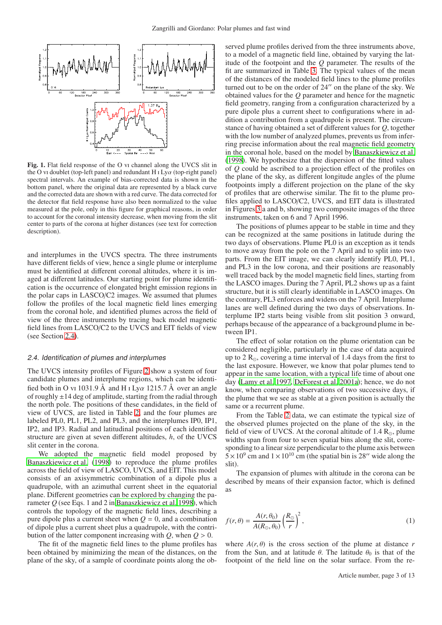

<span id="page-2-0"></span>Fig. 1. Flat field response of the O vi channel along the UVCS slit in the O vi doublet (top-left panel) and redundant H i Ly $\alpha$  (top-right panel) spectral intervals. An example of bias-corrected data is shown in the bottom panel, where the original data are represented by a black curve and the corrected data are shown with a red curve. The data corrected for the detector flat field response have also been normalized to the value measured at the pole, only in this figure for graphical reasons, in order to account for the coronal intensity decrease, when moving from the slit center to parts of the corona at higher distances (see text for correction description).

and interplumes in the UVCS spectra. The three instruments have different fields of view, hence a single plume or interplume must be identified at different coronal altitudes, where it is imaged at different latitudes. Our starting point for plume identification is the occurrence of elongated bright emission regions in the polar caps in LASCO/C2 images. We assumed that plumes follow the profiles of the local magnetic field lines emerging from the coronal hole, and identified plumes across the field of view of the three instruments by tracing back model magnetic field lines from LASCO/C2 to the UVCS and EIT fields of view (see Section [2.4\)](#page-2-1).

#### <span id="page-2-1"></span>2.4. Identification of plumes and interplumes

The UVCS intensity profiles of Figure [2](#page-3-0) show a system of four candidate plumes and interplume regions, which can be identified both in O vi 1031.9 Å and H i Lya 1215.7 Å over an angle of roughly  $\pm 14$  deg of amplitude, starting from the radial through the north pole. The positions of these candidates, in the field of view of UVCS, are listed in Table [2,](#page-3-1) and the four plumes are labeled PL0, PL1, PL2, and PL3, and the interplumes IP0, IP1, IP2, and IP3. Radial and latitudinal positions of each identified structure are given at seven different altitudes, *h*, of the UVCS slit center in the corona.

We adopted the magnetic field model proposed by [Banaszkiewicz et al. \(1998\)](#page-12-24) to reproduce the plume profiles across the field of view of LASCO, UVCS, and EIT. This model consists of an axisymmetric combination of a dipole plus a quadrupole, with an azimuthal current sheet in the equatorial plane. Different geometries can be explored by changing the parameter *Q* (see Eqs. 1 and 2 in [Banaszkiewicz et al. 1998\)](#page-12-24), which controls the topology of the magnetic field lines, describing a pure dipole plus a current sheet when  $Q = 0$ , and a combination of dipole plus a current sheet plus a quadrupole, with the contribution of the latter component increasing with  $Q$ , when  $Q > 0$ .

The fit of the magnetic field lines to the plume profiles has been obtained by minimizing the mean of the distances, on the plane of the sky, of a sample of coordinate points along the ob-

served plume profiles derived from the three instruments above, to a model of a magnetic field line, obtained by varying the latitude of the footpoint and the *Q* parameter. The results of the fit are summarized in Table [3.](#page-3-2) The typical values of the mean of the distances of the modeled field lines to the plume profiles turned out to be on the order of 24′′ on the plane of the sky. We obtained values for the *Q* parameter and hence for the magnetic field geometry, ranging from a configuration characterized by a pure dipole plus a current sheet to configurations where in addition a contribution from a quadrupole is present. The circumstance of having obtained a set of different values for *Q*, together with the low number of analyzed plumes, prevents us from inferring precise information about the real magnetic field geometry in the coronal hole, based on the model by [Banaszkiewicz et al.](#page-12-24) [\(1998\)](#page-12-24). We hypothesize that the dispersion of the fitted values of *Q* could be ascribed to a projection effect of the profiles on the plane of the sky, as different longitude angles of the plume footpoints imply a different projection on the plane of the sky of profiles that are otherwise similar. The fit to the plume profiles applied to LASCO/C2, UVCS, and EIT data is illustrated in Figures [3](#page-4-0) a and b, showing two composite images of the three instruments, taken on 6 and 7 April 1996.

The positions of plumes appear to be stable in time and they can be recognized at the same positions in latitude during the two days of observations. Plume PL0 is an exception as it tends to move away from the pole on the 7 April and to split into two parts. From the EIT image, we can clearly identify PL0, PL1, and PL3 in the low corona, and their positions are reasonably well traced back by the model magnetic field lines, starting from the LASCO images. During the 7 April, PL2 shows up as a faint structure, but it is still clearly identifiable in LASCO images. On the contrary, PL3 enforces and widens on the 7 April. Interplume lanes are well defined during the two days of observations. Interplume IP2 starts being visible from slit position 3 onward, perhaps because of the appearance of a background plume in between IP1.

The effect of solar rotation on the plume orientation can be considered negligible, particularly in the case of data acquired up to 2  $\rm R_{\odot}$ , covering a time interval of 1.4 days from the first to the last exposure. However, we know that polar plumes tend to appear in the same location, with a typical life time of about one day [\(Lamy et al. 1997,](#page-12-15) [DeForest et al. 2001a\)](#page-12-16); hence, we do not know, when comparing observations of two successive days, if the plume that we see as stable at a given position is actually the same or a recurrent plume.

From the Table [2](#page-3-1) data, we can estimate the typical size of the observed plumes projected on the plane of the sky, in the field of view of UVCS. At the coronal altitude of  $1.4 \text{ R}_{\odot}$ , plume widths span from four to seven spatial bins along the slit, corresponding to a linear size perpendicular to the plume axis between  $5 \times 10^9$  cm and  $1 \times 10^{10}$  cm (the spatial bin is 28" wide along the slit).

The expansion of plumes with altitude in the corona can be described by means of their expansion factor, which is defined as

$$
f(r,\theta) = \frac{A(r,\theta_0)}{A(R_{\odot},\theta_0)} \left(\frac{R_{\odot}}{r}\right)^2,\tag{1}
$$

where  $A(r, \theta)$  is the cross section of the plume at distance *r* from the Sun, and at latitude  $\theta$ . The latitude  $\theta_0$  is that of the footpoint of the field line on the solar surface. From the re-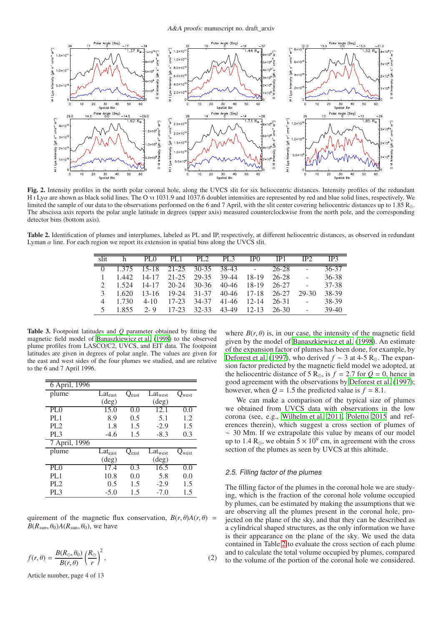

<span id="page-3-0"></span>Fig. 2. Intensity profiles in the north polar coronal hole, along the UVCS slit for six heliocentric distances. Intensity profiles of the redundant H i Lyα are shown as black solid lines. The O vi 1031.9 and 1037.6 doublet intensities are represented by red and blue solid lines, respectively. We limited the sample of our data to the observations performed on the 6 and 7 April, with the slit center covering heliocentric distances up to 1.85 R<sub>☉</sub>. The abscissa axis reports the polar angle latitude in degrees (upper axis) measured counterclockwise from the north pole, and the corresponding detector bins (bottom axis).

<span id="page-3-1"></span>Table 2. Identification of plumes and interplumes, labeled as PL and IP, respectively, at different heliocentric distances, as observed in redundant Lyman  $\alpha$  line. For each region we report its extension in spatial bins along the UVCS slit.

|  |       | PL 0      | PL <sub>1</sub> | PL <sub>2</sub> | PL <sub>3</sub>   | IP <sub>0</sub> | IP1   | IP2    | IP3       |
|--|-------|-----------|-----------------|-----------------|-------------------|-----------------|-------|--------|-----------|
|  |       | $15 - 18$ | $21 - 25$       |                 | $30-35$ $38-43$ - |                 | 26-28 |        | $36 - 37$ |
|  | 1442  | $14 - 17$ | $21 - 25$       | 29-35           | 39-44             | $18-19$         | 26-28 | $\sim$ | 36-38     |
|  | 1.524 | 14-17     | $20 - 24$       | 30-36           | 40-46             | 18-19           | 26-27 |        | 37-38     |
|  | 1.620 | 13-16     | $19-24$         | 31-37           | 40-46             | $17-18$         | 26-27 | 29-30  | 38-39     |
|  | 1 730 | $4 - 10$  | $17 - 23$       | 34-37           | 41-46             | $12 - 14$       | 26-31 | $\sim$ | 38-39     |
|  | 1855  | $2 - 9$   | $17 - 23$       | $32 - 33$       | 43-49             | $12 - 13$       | 26-30 |        | $39-40$   |
|  |       |           |                 |                 |                   |                 |       |        |           |

<span id="page-3-2"></span>Table 3. Footpoint latitudes and *Q* parameter obtained by fitting the magnetic field model of [Banaszkiewicz et al. \(1998\)](#page-12-24) to the observed plume profiles from LASCO/C2, UVCS, and EIT data. The footpoint latitudes are given in degrees of polar angle. The values are given for the east and west sides of the four plumes we studied, and are relative to the 6 and 7 April 1996.

| 6 April, 1996                |                     |                   |                |                             |
|------------------------------|---------------------|-------------------|----------------|-----------------------------|
| plume                        | $Lat_{\text{east}}$ | $Q_{\text{east}}$ | $Lat_{west}$   | $\mathcal{Q}_{\text{west}}$ |
|                              | $(\text{deg})$      |                   | $(\text{deg})$ |                             |
| $\overline{PL}0$             | 15.0                | 0.0               | 12.1           | 0.0                         |
| PL <sub>1</sub>              | 8.9                 | 0.5               | 5.1            | 1.2                         |
| PL <sub>2</sub>              | 1.8                 | 1.5               | $-2.9$         | 1.5                         |
| PL <sub>3</sub>              | $-4.6$              | 1.5               | $-8.3$         | 0.3                         |
| 7 April, 1996                |                     |                   |                |                             |
| plume                        | Lateast             | $Q_{\rm east}$    | Latwest        | $\mathcal{V}_{\text{west}}$ |
|                              | $(\text{deg})$      |                   | $(\text{deg})$ |                             |
| $\overline{PL}$ <sup>0</sup> | $\overline{17}$ .4  | 0.3               | 16.5           | 0.0                         |
| PL <sub>1</sub>              | 10.8                | 0.0               | 5.8            | 0.0                         |
| PL <sub>2</sub>              | 0.5                 | 1.5               | $-2.9$         | 1.5                         |
| PL <sub>3</sub>              | $-5.0$              | 1.5               | $-7.0$         | 1.5                         |

quirement of the magnetic flux conservation,  $B(r, \theta)A(r, \theta)$  =  $B(R_{sum}, \theta_0)A(R_{sum}, \theta_0)$ , we have

$$
f(r,\theta) = \frac{B(R_{\odot}, \theta_0)}{B(r,\theta)} \left(\frac{R_{\odot}}{r}\right)^2, \tag{2}
$$

Article number, page 4 of 13

where  $B(r, \theta)$  is, in our case, the intensity of the magnetic field given by the model of [Banaszkiewicz et al.](#page-12-24) [\(1998\)](#page-12-24). An estimate of the expansion factor of plumes has been done, for example, by [Deforest et al. \(1997\)](#page-12-17), who derived *f* ∼ 3 at 4-5 R<sub>☉</sub>. The expansion factor predicted by the magnetic field model we adopted, at the heliocentric distance of 5 R<sub>☉</sub>, is  $f = 2.7$  for  $Q = 0$ , hence in good agreement with the observations by [Deforest et al. \(1997\)](#page-12-17); however, when  $Q = 1.5$  the predicted value is  $f = 8.1$ .

We can make a comparison of the typical size of plumes we obtained from UVCS data with observations in the low corona (see, e.g., [Wilhelm et al. 2011,](#page-12-1) [Poletto 2015](#page-12-2) and references therein), which suggest a cross section of plumes of ∼ 30 Mm. If we extrapolate this value by means of our model up to 1.4 R<sub>☉</sub>, we obtain  $5 \times 10^9$  cm, in agreement with the cross section of the plumes as seen by UVCS at this altitude.

# 2.5. Filling factor of the plumes

The filling factor of the plumes in the coronal hole we are studying, which is the fraction of the coronal hole volume occupied by plumes, can be estimated by making the assumptions that we are observing all the plumes present in the coronal hole, projected on the plane of the sky, and that they can be described as a cylindrical shaped structures, as the only information we have is their appearance on the plane of the sky. We used the data contained in Table [2](#page-3-1) to evaluate the cross section of each plume and to calculate the total volume occupied by plumes, compared to the volume of the portion of the coronal hole we considered.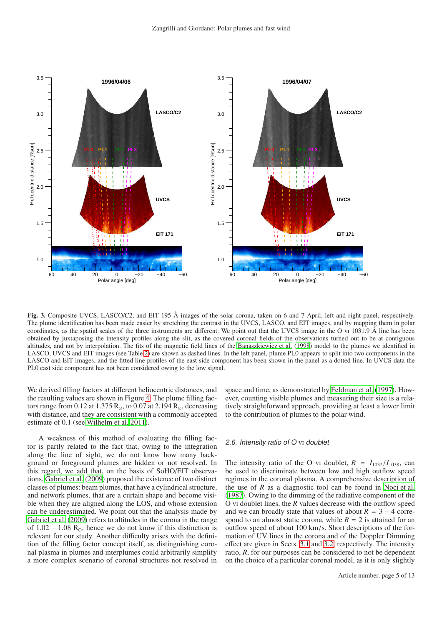

<span id="page-4-0"></span>Fig. 3. Composite UVCS, LASCO/C2, and EIT 195 Å images of the solar corona, taken on 6 and 7 April, left and right panel, respectively. The plume identification has been made easier by stretching the contrast in the UVCS, LASCO, and EIT images, and by mapping them in polar coordinates, as the spatial scales of the three instruments are different. We point out that the UVCS image in the O vi  $1031.9 \text{ Å}$  line has been obtained by juxtaposing the intensity profiles along the slit, as the covered coronal fields of the observations turned out to be at contiguous altitudes, and not by interpolation. The fits of the magnetic field lines of the [Banaszkiewicz et al. \(1998](#page-12-24)) model to the plumes we identified in LASCO, UVCS and EIT images (see Table [2\)](#page-3-1) are shown as dashed lines. In the left panel, plume PL0 appears to split into two components in the LASCO and EIT images, and the fitted line profiles of the east side component has been shown in the panel as a dotted line. In UVCS data the PL0 east side component has not been considered owing to the low signal.

We derived filling factors at different heliocentric distances, and the resulting values are shown in Figure [4.](#page-5-1) The plume filling factors range from 0.12 at 1.375  $R_{\odot}$ , to 0.07 at 2.194  $R_{\odot}$ , decreasing with distance, and they are consistent with a commonly accepted estimate of 0.1 (see [Wilhelm et al. 2011\)](#page-12-1).

A weakness of this method of evaluating the filling factor is partly related to the fact that, owing to the integration along the line of sight, we do not know how many background or foreground plumes are hidden or not resolved. In this regard, we add that, on the basis of SoHO/EIT observations, [Gabriel et al. \(2009\)](#page-12-25) proposed the existence of two distinct classes of plumes: beam plumes, that have a cylindrical structure, and network plumes, that are a curtain shape and become visible when they are aligned along the LOS, and whose extension can be underestimated. We point out that the analysis made by [Gabriel et al. \(2009](#page-12-25)) refers to altitudes in the corona in the range of  $1.02 - 1.08$  R<sub>☉</sub>, hence we do not know if this distinction is relevant for our study. Another difficulty arises with the definition of the filling factor concept itself, as distinguishing coronal plasma in plumes and interplumes could arbitrarily simplify a more complex scenario of coronal structures not resolved in space and time, as demonstrated by [Feldman et al. \(1997\)](#page-12-26). However, counting visible plumes and measuring their size is a relatively straightforward approach, providing at least a lower limit to the contribution of plumes to the polar wind.

# 2.6. Intensity ratio of <sup>O</sup> vi doublet

The intensity ratio of the O vi doublet,  $R = I_{1032}/I_{1038}$ , can be used to discriminate between low and high outflow speed regimes in the coronal plasma. A comprehensive description of the use of  $R$  as a diagnostic tool can be found in [Noci et al.](#page-12-9) [\(1987\)](#page-12-9). Owing to the dimming of the radiative component of the O vi doublet lines, the *R* values decrease with the outflow speed and we can broadly state that values of about  $R = 3 - 4$  correspond to an almost static corona, while  $R = 2$  is attained for an outflow speed of about 100 km/s. Short descriptions of the formation of UV lines in the corona and of the Doppler Dimming effect are given in Sects. [3.1](#page-5-2) and [3.2,](#page-5-3) respectively. The intensity ratio, *R*, for our purposes can be considered to not be dependent on the choice of a particular coronal model, as it is only slightly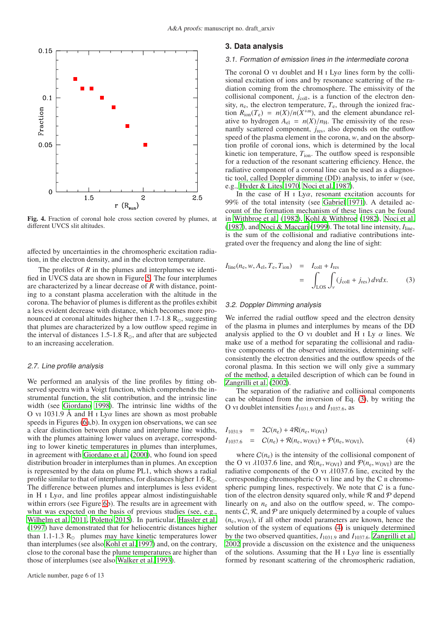

<span id="page-5-1"></span>Fig. 4. Fraction of coronal hole cross section covered by plumes, at different UVCS slit altitudes.

affected by uncertainties in the chromospheric excitation radiation, in the electron density, and in the electron temperature.

The profiles of *R* in the plumes and interplumes we identified in UVCS data are shown in Figure [5.](#page-6-0) The four interplumes are characterized by a linear decrease of *R* with distance, pointing to a constant plasma acceleration with the altitude in the corona. The behavior of plumes is different as the profiles exhibit a less evident decrease with distance, which becomes more pronounced at coronal altitudes higher then 1.7-1.8  $R_{\odot}$ , suggesting that plumes are characterized by a low outflow speed regime in the interval of distances 1.5-1.8  $R_{\odot}$ , and after that are subjected to an increasing acceleration.

## <span id="page-5-6"></span>2.7. Line profile analysis

We performed an analysis of the line profiles by fitting observed spectra with a Voigt function, which comprehends the instrumental function, the slit contribution, and the intrinsic line width (see [Giordano 1998\)](#page-12-21). The intrinsic line widths of the O vi 1031.9 Å and H i Ly $\alpha$  lines are shown as most probable speeds in Figures [\(6a](#page-6-1),b). In oxygen ion observations, we can see a clear distinction between plume and interplume line widths, with the plumes attaining lower values on average, corresponding to lower kinetic temperatures in plumes than interplumes, in agreement with [Giordano et al.](#page-12-10) [\(2000\)](#page-12-10), who found ion speed distribution broader in interplumes than in plumes. An exception is represented by the data on plume PL1, which shows a radial profile similar to that of interplumes, for distances higher  $1.6 R_{\odot}$ . The difference between plumes and interplumes is less evident in H  $\alpha$  Ly $\alpha$ , and line profiles appear almost indistinguishable within errors (see Figure [6b](#page-6-1)). The results are in agreement with what was expected on the basis of previous studies (see, e.g., [Wilhelm et al. 2011,](#page-12-1) [Poletto 2015\)](#page-12-2). In particular, [Hassler et al.](#page-12-27) [\(1997](#page-12-27)) have demonstrated that for heliocentric distances higher than 1.1-1.3  $R_{\odot}$  plumes may have kinetic temperatures lower than interplumes (see also [Kohl et al. 1997\)](#page-12-6) and, on the contrary, close to the coronal base the plume temperatures are higher than those of interplumes (see also [Walker et al. 1993\)](#page-12-28).

# <span id="page-5-2"></span><span id="page-5-0"></span>**3. Data analysis**

#### 3.1. Formation of emission lines in the intermediate corona

The coronal O vi doublet and H  $\text{I}$  Ly $\alpha$  lines form by the collisional excitation of ions and by resonance scattering of the radiation coming from the chromosphere. The emissivity of the collisional component, *j*<sub>coll</sub>, is a function of the electron density,  $n_e$ , the electron temperature,  $T_e$ , through the ionized fraction  $R_{\text{ion}}(T_e) = n(X)/n(X^{+m})$ , and the element abundance relative to hydrogen  $A_{el} = n(X)/n_H$ . The emissivity of the resonantly scattered component, *j*<sub>res</sub>, also depends on the outflow speed of the plasma element in the corona, *w*, and on the absorption profile of coronal ions, which is determined by the local kinetic ion temperature,  $T_{\text{ion}}$ . The outflow speed is responsible for a reduction of the resonant scattering efficiency. Hence, the radiative component of a coronal line can be used as a diagnostic tool, called Doppler dimming (DD) analysis, to infer *w* (see, e.g., [Hyder & Lites 1970,](#page-12-29) [Noci et al. 1987](#page-12-9)).

In the case of H  $\text{I}$  Ly $\alpha$ , resonant excitation accounts for 99% of the total intensity (see [Gabriel 1971](#page-12-30)). A detailed account of the formation mechanism of these lines can be found in [Withbroe et al. \(1982](#page-12-31)), [Kohl & Withbroe](#page-12-32) [\(1982\)](#page-12-32), [Noci et al.](#page-12-9) [\(1987\)](#page-12-9), and [Noci & Maccari \(1999\)](#page-12-33). The total line intensity,  $I_{\text{line}}$ , is the sum of the collisional and radiative contributions integrated over the frequency and along the line of sight:

<span id="page-5-4"></span>
$$
I_{\text{line}}(n_{\text{e}}, w, A_{\text{el}}, T_{\text{e}}, T_{\text{ion}}) = I_{\text{coll}} + I_{\text{res}}
$$
  
= 
$$
\int_{\text{LOS}} \int_{V} (j_{\text{coll}} + j_{\text{res}}) \, d\nu dx. \tag{3}
$$

# <span id="page-5-3"></span>3.2. Doppler Dimming analysis

We inferred the radial outflow speed and the electron density of the plasma in plumes and interplumes by means of the DD analysis applied to the O vi doublet and H i Ly  $\alpha$  lines. We make use of a method for separating the collisional and radiative components of the observed intensities, determining selfconsistently the electron densities and the outflow speeds of the coronal plasma. In this section we will only give a summary of the method, a detailed description of which can be found in [Zangrilli et al. \(2002\)](#page-12-34).

The separation of the radiative and collisional components can be obtained from the inversion of Eq. [\(3\)](#page-5-4), by writing the O vi doublet intensities  $I_{1031.9}$  and  $I_{1037.6}$ , as

<span id="page-5-5"></span>
$$
I_{1031.9} = 2C(n_e) + 4R(n_e, w_{\text{OVI}})
$$
  
\n
$$
I_{1037.6} = C(n_e) + R(n_e, w_{\text{OVI}}) + \mathcal{P}(n_e, w_{\text{OVI}}),
$$
\n(4)

where  $C(n_e)$  is the intensity of the collisional component of the O vi  $\lambda$ 1037.6 line, and  $\mathcal{R}(n_e, w_{\text{OVI}})$  and  $\mathcal{P}(n_e, w_{\text{OVI}})$  are the radiative components of the O vi  $\lambda$ 1037.6 line, excited by the corresponding chromospheric  $O$  vi line and by the  $C$  ii chromospheric pumping lines, respectively. We note that  $C$  is a function of the electron density squared only, while  $\mathcal R$  and  $\mathcal P$  depend linearly on  $n_e$  and also on the outflow speed, *w*. The components  $C$ ,  $R$ , and  $P$  are uniquely determined by a couple of values  $(n_e, w_{\text{OVI}})$ , if all other model parameters are known, hence the solution of the system of equations [\(4\)](#page-5-5) is uniquely determined by the two observed quantities,  $I_{1031.9}$  and  $I_{1037.6}$ . [Zangrilli et al.](#page-12-34) [2002](#page-12-34) provide a discussion on the existence and the uniqueness of the solutions. Assuming that the H  $\text{I}$  Ly $\alpha$  line is essentially formed by resonant scattering of the chromospheric radiation,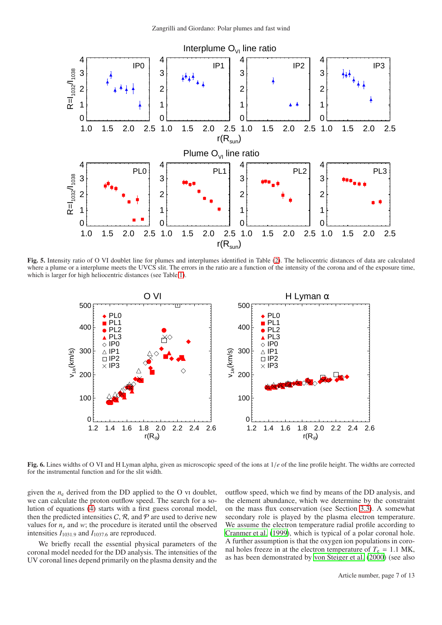

<span id="page-6-0"></span>Fig. 5. Intensity ratio of O VI doublet line for plumes and interplumes identified in Table [\(2\)](#page-3-1). The heliocentric distances of data are calculated where a plume or a interplume meets the UVCS slit. The errors in the ratio are a function of the intensity of the corona and of the exposure time, which is larger for high heliocentric distances (see Table [1\)](#page-1-1).



<span id="page-6-1"></span>Fig. 6. Lines widths of O VI and H Lyman alpha, given as microscopic speed of the ions at 1/*e* of the line profile height. The widths are corrected for the instrumental function and for the slit width.

given the  $n_e$  derived from the DD applied to the O vi doublet, we can calculate the proton outflow speed. The search for a solution of equations  $(4)$  starts with a first guess coronal model, then the predicted intensities  $C$ ,  $\mathcal{R}$ , and  $\mathcal{P}$  are used to derive new values for  $n_e$  and *w*; the procedure is iterated until the observed intensities  $I_{1031.9}$  and  $I_{1037.6}$  are reproduced.

We briefly recall the essential physical parameters of the coronal model needed for the DD analysis. The intensities of the UV coronal lines depend primarily on the plasma density and the

outflow speed, which we find by means of the DD analysis, and the element abundance, which we determine by the constraint on the mass flux conservation (see Section [3.3\)](#page-7-1). A somewhat secondary role is played by the plasma electron temperature. We assume the electron temperature radial profile according to [Cranmer et al.](#page-12-7) [\(1999\)](#page-12-7), which is typical of a polar coronal hole. A further assumption is that the oxygen ion populations in coronal holes freeze in at the electron temperature of  $T_e = 1.1$  MK, as has been demonstrated by [von Steiger et al.](#page-12-35) [\(2000\)](#page-12-35) (see also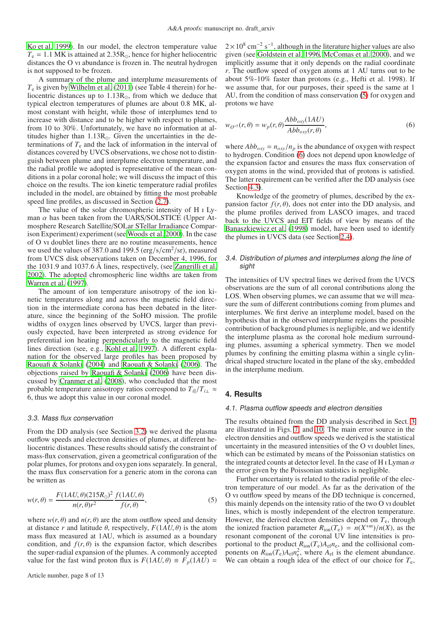[Ko et al. 1999\)](#page-12-36). In our model, the electron temperature value  $T_e = 1.1$  MK is attained at 2.35R<sub>☉</sub>, hence for higher heliocentric distances the O vi abundance is frozen in. The neutral hydrogen is not supposed to be frozen.

A summary of the plume and interplume measurements of  $T_e$  is given by [Wilhelm et al. \(2011](#page-12-1)) (see Table 4 therein) for heliocentric distances up to 1.13R⊙, from which we deduce that typical electron temperatures of plumes are about 0.8 MK, almost constant with height, while those of interplumes tend to increase with distance and to be higher with respect to plumes, from 10 to 30%. Unfortunately, we have no information at altitudes higher than 1.13R⊙. Given the uncertainties in the determinations of *T*<sup>e</sup> and the lack of information in the interval of distances covered by UVCS observations, we chose not to distinguish between plume and interplume electron temperature, and the radial profile we adopted is representative of the mean conditions in a polar coronal hole; we will discuss the impact of this choice on the results. The ion kinetic temperature radial profiles included in the model, are obtained by fitting the most probable speed line profiles, as discussed in Section [\(2.7\)](#page-5-6).

The value of the solar chromospheric intensity of H i Lyman  $\alpha$  has been taken from the UARS/SOLSTICE (Upper Atmosphere Research Satellite/SOLar STellar Irradiance Comparison Experiment) experiment (see [Woods et al. 2000\)](#page-12-37). In the case of O vi doublet lines there are no routine measurements, hence we used the values of 387.0 and 199.5 ( $\frac{\text{erg}}{\text{s/cm}^2/\text{sr}}$ ), measured from UVCS disk observations taken on December 4, 1996, for the 1031.9 and 1037.6 Å lines, respectively, (see [Zangrilli](#page-12-34) et al. [2002\)](#page-12-34). The adopted chromospheric line widths are taken from [Warren et al.](#page-12-38) [\(1997\)](#page-12-38).

The amount of ion temperature anisotropy of the ion kinetic temperatures along and across the magnetic field direction in the intermediate corona has been debated in the literature, since the beginning of the SoHO mission. The profile widths of oxygen lines observed by UVCS, larger than previously expected, have been interpreted as strong evidence for preferential ion heating perpendicularly to the magnetic field lines direction (see, e.g., [Kohl et al. 1997\)](#page-12-6). A different explanation for the observed large profiles has been proposed by [Raouafi & Solanki](#page-12-39) [\(2004\)](#page-12-39) and [Raouafi & Solanki \(2006\)](#page-12-40). The objections raised by [Raouafi & Solanki](#page-12-40) [\(2006\)](#page-12-40) have been discussed by [Cranmer et al. \(2008\)](#page-12-41), who concluded that the most probable temperature anisotropy ratios correspond to  $T_{i\parallel}/T_{i\perp} \approx$ 6, thus we adopt this value in our coronal model.

# <span id="page-7-1"></span>3.3. Mass flux conservation

From the DD analysis (see Section [3.2\)](#page-5-3) we derived the plasma outflow speeds and electron densities of plumes, at different heliocentric distances. These results should satisfy the constraint of mass-flux conservation, given a geometrical configuration of the polar plumes, for protons and oxygen ions separately. In general, the mass flux conservation for a generic atom in the corona can be written as

<span id="page-7-2"></span>
$$
w(r,\theta) = \frac{F(1AU,\theta)(215R_{\odot})^2}{n(r,\theta)r^2} \frac{f(1AU,\theta)}{f(r,\theta)},
$$
\n(5)

where  $w(r, \theta)$  and  $n(r, \theta)$  are the atom outflow speed and density at distance *r* and latitude  $\theta$ , respectively,  $F(1AU, \theta)$  is the atom mass flux measured at 1AU, which is assumed as a boundary condition, and  $f(r, \theta)$  is the expansion factor, which describes the super-radial expansion of the plumes. A commonly accepted value for the fast wind proton flux is  $F(1AU, \theta) \equiv F_p(1AU)$  =

 $2 \times 10^8$  cm<sup>-2</sup> s<sup>-1</sup>, although in the literature higher values are also given (see [Goldstein et al. 1996](#page-12-42), [McComas et al. 2000\)](#page-12-43), and we implicitly assume that it only depends on the radial coordinate *r*. The outflow speed of oxygen atoms at 1 AU turns out to be about 5%-10% faster than protons (e.g., Hefti et al. 1998). If we assume that, for our purposes, their speed is the same at 1 AU, from the condition of mass conservation [\(5\)](#page-7-2) for oxygen and protons we have

<span id="page-7-3"></span>
$$
w_{O^{+5}}(r,\theta) = w_p(r,\theta) \frac{Abb_{oxy}(1AU)}{Abb_{oxy}(r,\theta)},
$$
\n(6)

where  $Abb_{oxy} = n_{oxy}/n_p$  is the abundance of oxygen with respect to hydrogen. Condition [\(6\)](#page-7-3) does not depend upon knowledge of the expansion factor and ensures the mass flux conservation of oxygen atoms in the wind, provided that of protons is satisfied. The latter requirement can be verified after the DD analysis (see Section [4.3\)](#page-8-0).

Knowledge of the geometry of plumes, described by the expansion factor  $f(r, \theta)$ , does not enter into the DD analysis, and the plume profiles derived from LASCO images, and traced back to the UVCS and EIT fields of view by means of the [Banaszkiewicz et al.](#page-12-24) [\(1998\)](#page-12-24) model, have been used to identify the plumes in UVCS data (see Section [2.4\)](#page-2-1).

# <span id="page-7-4"></span>3.4. Distribution of plumes and interplumes along the line of sight

The intensities of UV spectral lines we derived from the UVCS observations are the sum of all coronal contributions along the LOS. When observing plumes, we can assume that we will measure the sum of different contributions coming from plumes and interplumes. We first derive an interplume model, based on the hypothesis that in the observed interplume regions the possible contribution of background plumes is negligible, and we identify the interplume plasma as the coronal hole medium surrounding plumes, assuming a spherical symmetry. Then we model plumes by confining the emitting plasma within a single cylindrical shaped structure located in the plane of the sky, embedded in the interplume medium.

# <span id="page-7-5"></span><span id="page-7-0"></span>**4. Results**

#### 4.1. Plasma outflow speeds and electron densities

The results obtained from the DD analysis described in Sect. [3](#page-5-0) are illustrated in Figs. [7,](#page-8-1) and [10.](#page-11-0) The main error source in the electron densities and outflow speeds we derived is the statistical uncertainty in the measured intensities of the O vi doublet lines, which can be estimated by means of the Poissonian statistics on the integrated counts at detector level. In the case of H I Lyman  $\alpha$ the error given by the Poissonian statistics is negligible.

Further uncertainty is related to the radial profile of the electron temperature of our model. As far as the derivation of the O vi outflow speed by means of the DD technique is concerned, this mainly depends on the intensity ratio of the two O vi doublet lines, which is mostly independent of the electron temperature. However, the derived electron densities depend on  $T_e$ , through the ionized fraction parameter  $R_{\text{ion}}(T_e) = n(X^{+m})/n(X)$ , as the resonant component of the coronal UV line intensities is proportional to the product  $R_{\text{ion}}(T_e)A_{el}n_e$ , and the collisional components on  $R_{\text{ion}}(T_e)A_{el}n_e^2$ , where  $A_{el}$  is the element abundance. We can obtain a rough idea of the effect of our choice for *T*e,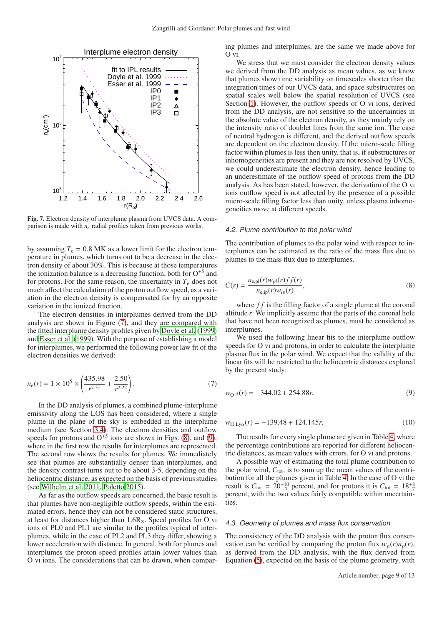

<span id="page-8-1"></span>Fig. 7. Electron density of interplume plasma from UVCS data. A comparison is made with  $n_e$  radial profiles taken from previous works.

by assuming  $T_e = 0.8$  MK as a lower limit for the electron temperature in plumes, which turns out to be a decrease in the electron density of about 30%. This is because at those temperatures the ionization balance is a decreasing function, both for  $O^{+5}$  and for protons. For the same reason, the uncertainty in  $T<sub>e</sub>$  does not much affect the calculation of the proton outflow speed, as a variation in the electron density is compensated for by an opposite variation in the ionized fraction.

The electron densities in interplumes derived from the DD analysis are shown in Figure [\(7\)](#page-8-1), and they are compared with the fitted interplume density profiles given by [Doyle et al.](#page-12-44) [\(1999\)](#page-12-44) and [Esser et al. \(1999\)](#page-12-45). With the purpose of establishing a model for interplumes, we performed the following power law fit of the electron densities we derived:

<span id="page-8-2"></span>
$$
n_{\rm e}(r) = 1 \times 10^5 \times \left(\frac{435.98}{r^{7.31}} + \frac{2.50}{r^{2.22}}\right). \tag{7}
$$

In the DD analysis of plumes, a combined plume-interplume emissivity along the LOS has been considered, where a single plume in the plane of the sky is embedded in the interplume medium (see Section [3.4\)](#page-7-4). The electron densities and outflow speeds for protons and  $O^{+5}$  ions are shown in Figs. [\(8\)](#page-9-1), and [\(9\)](#page-10-0), where in the first row the results for interplumes are represented. The second row shows the results for plumes. We immediately see that plumes are substantially denser than interplumes, and the density contrast turns out to be about 3-5, depending on the heliocentric distance, as expected on the basis of previous studies (see [Wilhelm et al. 2011](#page-12-1), [Poletto 2015\)](#page-12-2).

As far as the outflow speeds are concerned, the basic result is that plumes have non-negligible outflow speeds, within the estimated errors, hence they can not be considered static structures, at least for distances higher than 1.6R⊙. Speed profiles for O vi ions of PL0 and PL1 are similar to the profiles typical of interplumes, while in the case of PL2 and PL3 they differ, showing a lower acceleration with distance. In general, both for plumes and interplumes the proton speed profiles attain lower values than O vi ions. The considerations that can be drawn, when comparing plumes and interplumes, are the same we made above for  $O_{\text{VI}}$ .

We stress that we must consider the electron density values we derived from the DD analysis as mean values, as we know that plumes show time variability on timescales shorter than the integration times of our UVCS data, and space substructures on spatial scales well below the spatial resolution of UVCS (see Section [1\)](#page-0-0). However, the outflow speeds of O vi ions, derived from the DD analysis, are not sensitive to the uncertainties in the absolute value of the electron density, as they mainly rely on the intensity ratio of doublet lines from the same ion. The case of neutral hydrogen is different, and the derived outflow speeds are dependent on the electron density. If the micro-scale filling factor within plumes is less then unity, that is, if substructures or inhomogeneities are present and they are not resolved by UVCS, we could underestimate the electron density, hence leading to an underestimate of the outflow speed of protons from the DD analysis. As has been stated, however, the derivation of the O vi ions outflow speed is not affected by the presence of a possible micro-scale filling factor less than unity, unless plasma inhomogeneities move at different speeds.

## <span id="page-8-3"></span>4.2. Plume contribution to the polar wind

The contribution of plumes to the polar wind with respect to interplumes can be estimated as the ratio of the mass flux due to plumes to the mass flux due to interplumes,

$$
C(r) = \frac{n_{e,pl}(r)w_{pl}(r)ff(r)}{n_{e,ip}(r)w_{ip}(r)},
$$
\n(8)

where *f f* is the filling factor of a single plume at the coronal altitude *r*. We implicitly assume that the parts of the coronal hole that have not been recognized as plumes, must be considered as interplumes.

We used the following linear fits to the interplume outflow speeds for O vi and protons, in order to calculate the interplume plasma flux in the polar wind. We expect that the validity of the linear fits will be restricted to the heliocentric distances explored by the present study:

<span id="page-8-5"></span><span id="page-8-4"></span>
$$
w_{\mathcal{O}^{+5}}(r) = -344.02 + 254.88r,\tag{9}
$$

$$
w_{\text{H Ly}\alpha}(r) = -139.48 + 124.145r. \tag{10}
$$

The results for every single plume are given in Table [4,](#page-9-2) where the percentage contributions are reported for different heliocentric distances, as mean values with errors, for O vi and protons.

A possible way of estimating the total plume contribution to the polar wind,  $C_{\text{tot}}$ , is to sum up the mean values of the contribution for all the plumes given in Table [4.](#page-9-2) In the case of O vi the result is  $C_{\text{tot}} = 20^{+10}_{-7}$  percent, and for protons it is  $C_{\text{tot}} = 18^{+8}_{-7}$ percent, with the two values fairly compatible within uncertainties.

# <span id="page-8-0"></span>4.3. Geometry of plumes and mass flux conservation

The consistency of the DD analysis with the proton flux conservation can be verified by comparing the proton flux  $w_p(r)n_p(r)$ , as derived from the DD analysis, with the flux derived from Equation [\(5\)](#page-7-2), expected on the basis of the plume geometry, with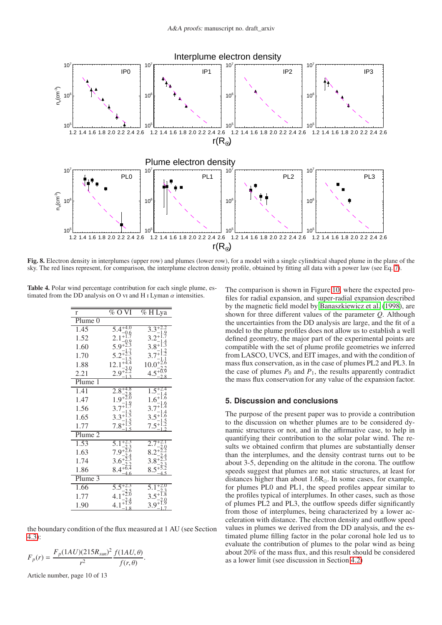

<span id="page-9-1"></span>Fig. 8. Electron density in interplumes (upper row) and plumes (lower row), for a model with a single cylindrical shaped plume in the plane of the sky. The red lines represent, for comparison, the interplume electron density profile, obtained by fitting all data with a power law (see Eq. [7\)](#page-8-2).

Table 4. Polar wind percentage contribution for each single plume, estimated from the DD analysis on O vi and H i Lyman  $\alpha$  intensities.

<span id="page-9-2"></span>

| r                  | $\%$ O<br>VI | $\overline{\% H}$ Lya |
|--------------------|--------------|-----------------------|
| Plume <sub>0</sub> |              |                       |
| $1.\overline{45}$  | 5.4          | 3.3                   |
| 1.52               |              |                       |
| 1.60               | 5.9          | 3.8                   |
| 1.70               |              |                       |
| 1.88               | 12           | 10.0                  |
| 2.21               | 2.9          | 4.                    |
| Plume 1            |              |                       |
| 1.41               | 2.8          |                       |
| 1.47               | 1.9          | 1.6                   |
| 1.56               |              |                       |
| 1.65               | 3.3          | 3.                    |
| 1.77               | 7.8          | 7.:                   |
| Plume 2            |              |                       |
| 1.53               |              |                       |
| 1.63               |              |                       |
| 1.74               | 3.6          | 3.8                   |
| 1.86               | 8.4          | 8.                    |
| Plume 3            |              |                       |
| 1.66               |              |                       |
| 1.77               |              |                       |
| 1.90               | 4.1          | 3.9                   |

the boundary condition of the flux measured at 1 AU (see Section [4.3\)](#page-8-0):

$$
F_p(r) = \frac{F_p(1AU)(215R_{sun})^2}{r^2} \frac{f(1AU,\theta)}{f(r,\theta)}.
$$

Article number, page 10 of 13

The comparison is shown in Figure [10,](#page-11-0) where the expected profiles for radial expansion, and super-radial expansion described by the magnetic field model by [Banaszkiewicz et al. \(1998\)](#page-12-24), are shown for three different values of the parameter *Q*. Although the uncertainties from the DD analysis are large, and the fit of a model to the plume profiles does not allow us to establish a well defined geometry, the major part of the experimental points are compatible with the set of plume profile geometries we inferred from LASCO, UVCS, and EIT images, and with the condition of mass flux conservation, as in the case of plumes PL2 and PL3. In the case of plumes  $P_0$  and  $P_1$ , the results apparently contradict the mass flux conservation for any value of the expansion factor.

# <span id="page-9-0"></span>**5. Discussion and conclusions**

The purpose of the present paper was to provide a contribution to the discussion on whether plumes are to be considered dynamic structures or not, and in the affirmative case, to help in quantifying their contribution to the solar polar wind. The results we obtained confirm that plumes are substantially denser than the interplumes, and the density contrast turns out to be about 3-5, depending on the altitude in the corona. The outflow speeds suggest that plumes are not static structures, at least for distances higher than about  $1.6R_{\odot}$ . In some cases, for example, for plumes PL0 and PL1, the speed profiles appear similar to the profiles typical of interplumes. In other cases, such as those of plumes PL2 and PL3, the outflow speeds differ significantly from those of interplumes, being characterized by a lower acceleration with distance. The electron density and outflow speed values in plumes we derived from the DD analysis, and the estimated plume filling factor in the polar coronal hole led us to evaluate the contribution of plumes to the polar wind as being about 20% of the mass flux, and this result should be considered as a lower limit (see discussion in Section [4.2\)](#page-8-3)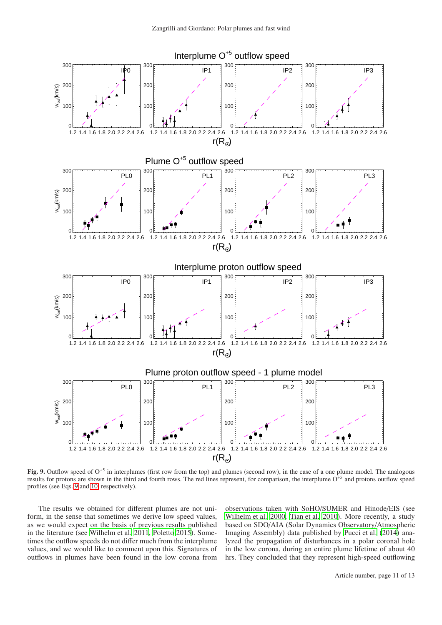

<span id="page-10-0"></span>Fig. 9. Outflow speed of  $O<sup>+5</sup>$  in interplumes (first row from the top) and plumes (second row), in the case of a one plume model. The analogous results for protons are shown in the third and fourth rows. The red lines represent, for comparison, the interplume  $O<sup>+5</sup>$  and protons outflow speed profiles (see Eqs. [9](#page-8-4) and [10,](#page-8-5) respectively).

The results we obtained for different plumes are not uniform, in the sense that sometimes we derive low speed values, as we would expect on the basis of previous results published in the literature (see [Wilhelm et al. 2011,](#page-12-1) [Poletto 2015](#page-12-2)). Sometimes the outflow speeds do not differ much from the interplume values, and we would like to comment upon this. Signatures of outflows in plumes have been found in the low corona from observations taken with SoHO/SUMER and Hinode/EIS (see [Wilhelm et al. 2000,](#page-12-46) [Tian et al. 2010\)](#page-12-47). More recently, a study based on SDO/AIA (Solar Dynamics Observatory/Atmospheric Imaging Assembly) data published by [Pucci et al. \(2014\)](#page-12-48) analyzed the propagation of disturbances in a polar coronal hole in the low corona, during an entire plume lifetime of about 40 hrs. They concluded that they represent high-speed outflowing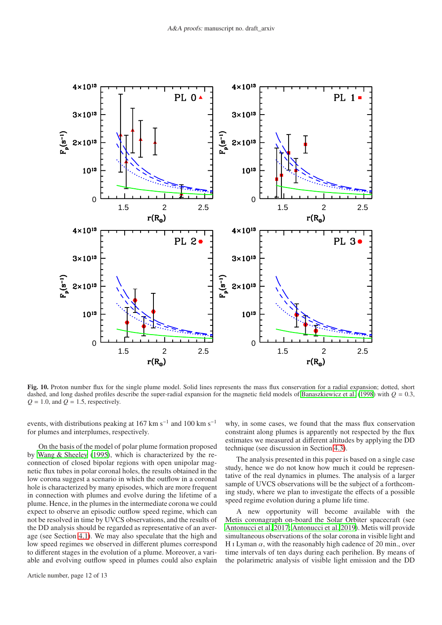

<span id="page-11-0"></span>Fig. 10. Proton number flux for the single plume model. Solid lines represents the mass flux conservation for a radial expansion; dotted, short dashed, and long dashed profiles describe the super-radial expansion for the magnetic field models of [Banaszkiewicz et al.](#page-12-24) [\(1998](#page-12-24)) with *Q* = 0.3,  $Q = 1.0$ , and  $Q = 1.5$ , respectively.

events, with distributions peaking at 167 km s<sup>-1</sup> and 100 km s<sup>-1</sup> for plumes and interplumes, respectively.

On the basis of the model of polar plume formation proposed by [Wang & Sheeley \(1995](#page-12-49)), which is characterized by the reconnection of closed bipolar regions with open unipolar magnetic flux tubes in polar coronal holes, the results obtained in the low corona suggest a scenario in which the outflow in a coronal hole is characterized by many episodes, which are more frequent in connection with plumes and evolve during the lifetime of a plume. Hence, in the plumes in the intermediate corona we could expect to observe an episodic outflow speed regime, which can not be resolved in time by UVCS observations, and the results of the DD analysis should be regarded as representative of an average (see Section [4.1\)](#page-7-5). We may also speculate that the high and low speed regimes we observed in different plumes correspond to different stages in the evolution of a plume. Moreover, a variable and evolving outflow speed in plumes could also explain

why, in some cases, we found that the mass flux conservation constraint along plumes is apparently not respected by the flux estimates we measured at different altitudes by applying the DD technique (see discussion in Section [4.3\)](#page-8-0).

The analysis presented in this paper is based on a single case study, hence we do not know how much it could be representative of the real dynamics in plumes. The analysis of a larger sample of UVCS observations will be the subject of a forthcoming study, where we plan to investigate the effects of a possible speed regime evolution during a plume life time.

A new opportunity will become available with the Metis coronagraph on-board the Solar Orbiter spacecraft (see [Antonucci et al. 2017;](#page-12-50) [Antonucci et al. 2019\)](#page-12-51). Metis will provide simultaneous observations of the solar corona in visible light and H I Lyman  $\alpha$ , with the reasonably high cadence of 20 min., over time intervals of ten days during each perihelion. By means of the polarimetric analysis of visible light emission and the DD